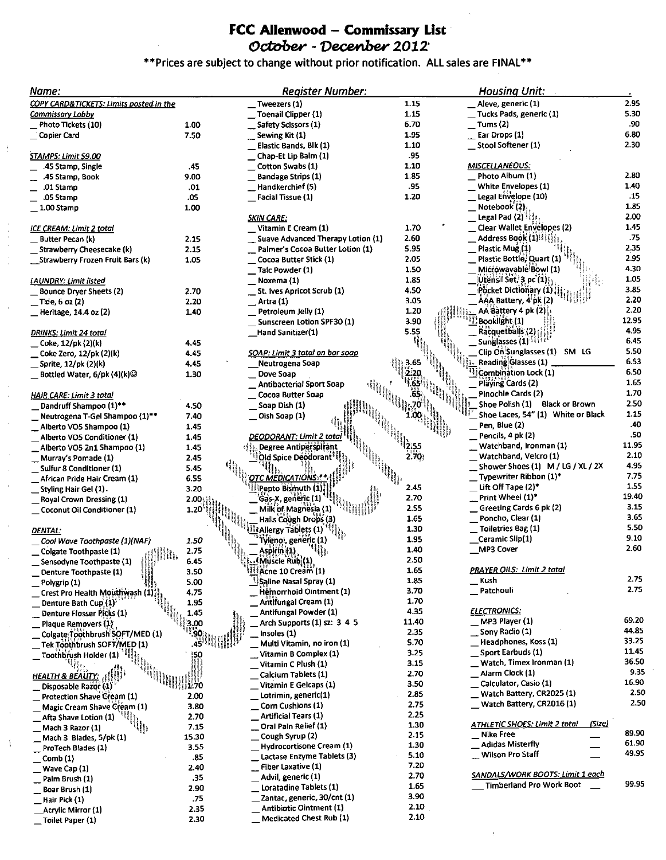## FCC Allenwood - Commissary List October - Decenber 2012'

## \*\* Prices are subject to change without prior notification. ALL sales are FINAL\*\*

 $\mathop{\mathbb{F}}\limits_*$ 

 $\begin{array}{c} \rightarrow \\ \rightarrow \\ \rightarrow \end{array}$ 

Å

| Name:                                                  |                                                   | <b>Register Number:</b>                               |              | <b>Housing Unit:</b>                                                                                               |              |
|--------------------------------------------------------|---------------------------------------------------|-------------------------------------------------------|--------------|--------------------------------------------------------------------------------------------------------------------|--------------|
| COPY CARD&TICKETS: Limits posted in the                |                                                   | Tweezers (1)                                          | 1.15         | Aleve, generic (1)                                                                                                 | 2.95         |
| <u>Commis</u> sary Lobby                               |                                                   | Toenail Clipper (1)                                   | 1.15         | Tucks Pads, generic (1)                                                                                            | 5.30         |
| Photo Tickets (10)                                     | 1.00                                              | Safety Scissors (1)                                   | 6.70         | Tums (2)                                                                                                           | .90          |
| Copier Card                                            | 7.50                                              | Sewing Kit (1)                                        | 1.95         | Ear Drops (1)                                                                                                      | 6.80         |
|                                                        |                                                   | Elastic Bands, Blk (1)                                | 1.10         | Stool Softener (1)                                                                                                 | 2.30         |
| STAMPS: Limit \$9.00                                   |                                                   | Chap-Et Lip Balm (1)                                  | .95          |                                                                                                                    |              |
| .45 Stamp, Single                                      | .45                                               | Cotton Swabs (1)                                      | 1.10         | <b>MISCELLANEOUS:</b>                                                                                              |              |
| .45 Stamp, Book                                        | 9.00                                              | <b>Bandage Strips (1)</b>                             | 1.85         | Photo Album (1)                                                                                                    | 2.80         |
| .01 Stamp                                              | .01                                               | Handkerchief (5)                                      | .95          | White Envelopes (1)                                                                                                | 1.40         |
| .05 Stamp                                              | .05                                               | Facial Tissue (1)                                     | 1.20         | Legal Envelope (10)                                                                                                | .15          |
| $1.00$ Stamp                                           | 1.00                                              |                                                       |              | Notebook $(2)$                                                                                                     | 1.85         |
|                                                        |                                                   | <u>SKIN CARE:</u>                                     |              | Legal Pad (2) $\frac{1}{2}$                                                                                        | 2.00         |
| ICE CREAM: Limit 2 total                               |                                                   | Vitamin E Cream (1)                                   | 1.70         | Clear Wallet Envelopes (2)                                                                                         | 1.45         |
| Butter Pecan (k)                                       | 2.15                                              | Suave Advanced Therapy Lotion (1)                     | 2.60         | Address Book (1)                                                                                                   | .75          |
| Strawberry Cheesecake (k)                              | 2.15                                              | Palmer's Cocoa Butter Lotion (1)                      | 5.95         | Plastic Mug (1)                                                                                                    | 2.35         |
| Strawberry Frozen Fruit Bars (k)                       | 1.05                                              | Cocoa Butter Stick (1)                                | 2.05         | Plastic Bottle; Quart (1)                                                                                          | 2.95         |
|                                                        |                                                   | Talc Powder (1)                                       | 1.50         | Microwavable Bowl (1)                                                                                              | 4.30<br>1.05 |
| <u>LAUNDRY: Limit listed</u>                           |                                                   | Noxema (1)                                            | 1.85         | $[Oftens]$ Set, $3$ pc $(1)$                                                                                       | 3.85         |
| <b>Bounce Dryer Sheets (2)</b>                         | 2.70                                              | St. ives Apricot Scrub (1)                            | 4.50         | $\left\langle \mathsf{P} \right\rangle$ öcket Dictionary (1) $\left\langle \right\rangle$<br>AAA Battery, 4 pk (2) | 2.20         |
| _ Tide, 6 oz (2)                                       | 2.20                                              | Artra (1)                                             | 3.05<br>1.20 | AA Battery 4 pk (2)                                                                                                | 2.20         |
| Heritage, 14.4 oz (2)                                  | 1.40                                              | Petroleum Jelly (1)                                   | 3.90         | Booklight (1)                                                                                                      | 12.95        |
|                                                        |                                                   | Sunscreen Lotion SPF30 (1)<br>Hand Sanitizer(1)       | 5.55         | Racquetballs (2)                                                                                                   | 4.95         |
| <u> DRINKS: Limit 24 total</u><br>Coke, 12/pk (2)(k)   |                                                   |                                                       |              | Sunglasses (1) LEFER                                                                                               | 6.45         |
| Coke Zero, 12/pk (2)(k)                                | 4.45<br>4.45                                      | <u> SOAP: Limit 3 total on bar soap</u>               |              | Clip On: Sunglasses (1) SM LG                                                                                      | 5.50         |
| Sprite, 12/pk (2)(k)                                   | 4.45                                              | Neutrogena Soap                                       |              | Reading Glasses (1)                                                                                                | 6.53         |
| Bottled Water, $6$ /pk $(4)$ (k) $\odot$               | 1.30                                              | Dove Soap                                             |              | Combination Lock (1)                                                                                               | 6.50         |
|                                                        |                                                   | Antibacterial Sport Soap                              |              | Playing Cards (2)                                                                                                  | 1.65         |
| <b>HAIR CARE: Limit 3 total</b>                        |                                                   | Cocoa Butter Soap                                     |              | Pinochle Cards (2)                                                                                                 | 1.70         |
| Dandruff Shampoo (1)**                                 | 4.50                                              | Soap Dish (1)                                         |              | Shoe Polish (1) Black or Brown                                                                                     | 2.50         |
| Neutrogena T-Gel Shampoo (1)**                         | 7.40                                              | Dish Soap (1)                                         |              | Shoe Laces, 54" (1) White or Black                                                                                 | 1.15         |
| Alberto VO5 Shampoo (1)                                | 1.45                                              |                                                       |              | Pen, Blue (2)                                                                                                      | .40          |
| Alberto VO5 Conditioner (1)                            | 1.45                                              | DEODORANT: Limit 2 total                              |              | Pencils, 4 pk (2)                                                                                                  | .50          |
| Alberto VO5 2n1 Shampoo (1)                            | 1.45                                              | <b>efte, Degree Antiperspirant</b>                    |              | Watchband, Ironman (1)                                                                                             | 11.95        |
| Murray's Pomade (1)                                    | 2.45                                              | Old Spice Deodorant <sup>11</sup>                     | 2.70)        | Watchband, Velcro (1)                                                                                              | 2.10         |
| Sulfur 8 Conditioner (1)                               | 5.45                                              |                                                       |              | Shower Shoes (1) M / LG / XL / 2X                                                                                  | 4.95         |
| African Pride Hair Cream (1)                           | 6.55                                              | <u>OTC MEDICATIONS: </u>                              |              | Typewriter Ribbon (1)*                                                                                             | 7.75         |
| Styling Hair Gel (1).                                  | 3.20                                              | Pepto Bismuth (1)                                     | 2.45         | Lift Off Tape (2)*                                                                                                 | 1.55         |
| Royal Crown Dressing (1)                               | 2.00                                              | Gas-X, generic (1)                                    | 2.70         | Print Wheel (1)*                                                                                                   | 19.40        |
| Coconut Oil Conditioner (1)                            | 1.20                                              | Milk of Magnesia (1)                                  | 2.55         | Greeting Cards 6 pk (2)                                                                                            | 3.15         |
|                                                        |                                                   | Halls Cough Drops (3)                                 | 1.65         | Poncho, Clear (1)                                                                                                  | 3.65         |
| <b>DENTAL:</b>                                         |                                                   | <b>Allergy Tablets (1)</b>                            | 1.30         | Toiletries Bag (1)                                                                                                 | 5.50         |
| Cool Wave Toothpaste (1)(NAF)                          | 1.50                                              | Tylenol, generic (1)                                  | 1.95         | Ceramic Slip(1)                                                                                                    | 9.10<br>2.60 |
| Colgate Toothpaste (1)                                 | 2.75                                              | Aspirin (1)                                           | 1.40         | <b>MP3 Cover</b>                                                                                                   |              |
| Sensodyne Toothpaste (1)                               | 6.45                                              | Muscle Rub (1)                                        | 2.50         |                                                                                                                    |              |
| Denture Toothpaste (1)                                 | 3.50                                              | III Acne 10 Cream (1)<br>Saline Nasal Spray (1)       | 1.65<br>1.85 | <u> PRAYER OILS: Limit 2 total</u><br>Kush                                                                         | 2.75         |
| Polygrip (1)                                           | 5.00                                              | Hemorrhoid Ointment (1)                               | 3.70         | Patchouli                                                                                                          | 2.75         |
| Crest Pro Health Mouthwash (1)<br>Denture Bath Cup (1) | 4.75<br>1.95                                      | Antifungal Cream (1)                                  | 1.70         |                                                                                                                    |              |
| Denture Flosser Picks (1)                              | 1.45                                              | Antifungal Powder (1)                                 | 4.35         | <b>ELECTRONICS:</b>                                                                                                |              |
| Plaque Removers (1)                                    | 3.00                                              | Arch Supports (1) sz: 3 4 5                           | 11.40        | MP3 Player (1)                                                                                                     | 69.20        |
| Colgate Toothbrush SOFT/MED (1)                        | <sup>11</sup> 90                                  | Insoles (1)                                           | 2.35         | Sony Radio (1)                                                                                                     | 44.85        |
| Tek Toothbrush SOFT/MED (1)                            | .45                                               | Multi Vitamin, no iron (1)                            | 5.70         | Headphones, Koss (1)                                                                                               | 33.25        |
| [Toothbrush Holder (1) [3]                             | $\begin{smallmatrix} 150 \ 111 \end{smallmatrix}$ | Vitamin B Complex (1)                                 | 3.25         | Sport Earbuds (1)                                                                                                  | 11.45        |
|                                                        |                                                   | Vitamin C Plush (1)                                   | 3.15         | Watch, Timex Ironman (1)                                                                                           | 36.50        |
| HEALTH & BEAUTY: (1)                                   |                                                   | Calcium Tablets (1)                                   | 2.70         | Alarm Clock (1)                                                                                                    | 9.35         |
| Disposable Razor (1)                                   | 1170                                              | Vitamin E Gelcaps (1)                                 | 3.50         | Calculator, Casio (1)                                                                                              | 16.90        |
| <b>Protection Shave Cream (1)</b>                      | 2.00                                              | Lotrimin, generic(1)                                  | 2.85         | Watch Battery, CR2025 (1)                                                                                          | 2.50         |
| Magic Cream Shave Cream (1)                            | 3.80                                              | Corn Cushions (1)                                     | 2.75         | Watch Battery, CR2016 (1)                                                                                          | 2.50         |
| Afta Shave Lotion (1)                                  | 2.70                                              | <b>Artificial Tears (1)</b>                           | 2.25         |                                                                                                                    |              |
| H,<br>Mach 3 Razor (1)                                 | 7.15                                              | Oral Pain Relief (1)                                  | 1.30         | (5, zc)<br>ATHLETIC SHOES: Limit 2 total                                                                           | 89.90        |
| Mach 3 Blades, 5/pk (1)                                | 15.30                                             | Cough Syrup (2)                                       | 2.15         | <b>Nike Free</b>                                                                                                   | 61.90        |
| ProTech Blades (1)                                     | 3.55                                              | Hydrocortisone Cream (1)                              | 1.30         | <b>Adidas Misterfly</b><br>Wilson Pro Staff                                                                        | 49.95        |
| Comb(1)                                                | .85                                               | Lactase Enzyme Tablets (3)                            | 5.10<br>7.20 |                                                                                                                    |              |
| Wave Cap (1)                                           | 2.40                                              | Fiber Laxative (1)                                    | 2.70         | SANDALS/WORK BOOTS. Limit 1 each                                                                                   |              |
| Palm Brush (1)                                         | .35                                               | Advil, generic (1)                                    | 1.65         | Timberland Pro Work Boot                                                                                           | 99.95        |
| Boar Brush (1)                                         | 2.90                                              | Loratadine Tablets (1)<br>Zantac, generic, 30/cnt (1) | 3.90         |                                                                                                                    |              |
| Hair Pick (1)                                          | .75                                               | <b>Antibiotic Ointment (1)</b>                        | 2.10         |                                                                                                                    |              |
| Acrylic Mirror (1)                                     | 2.35<br>2.30                                      | Medicated Chest Rub (1)                               | 2.10         |                                                                                                                    |              |
| Toilet Paper (1)                                       |                                                   |                                                       |              |                                                                                                                    |              |